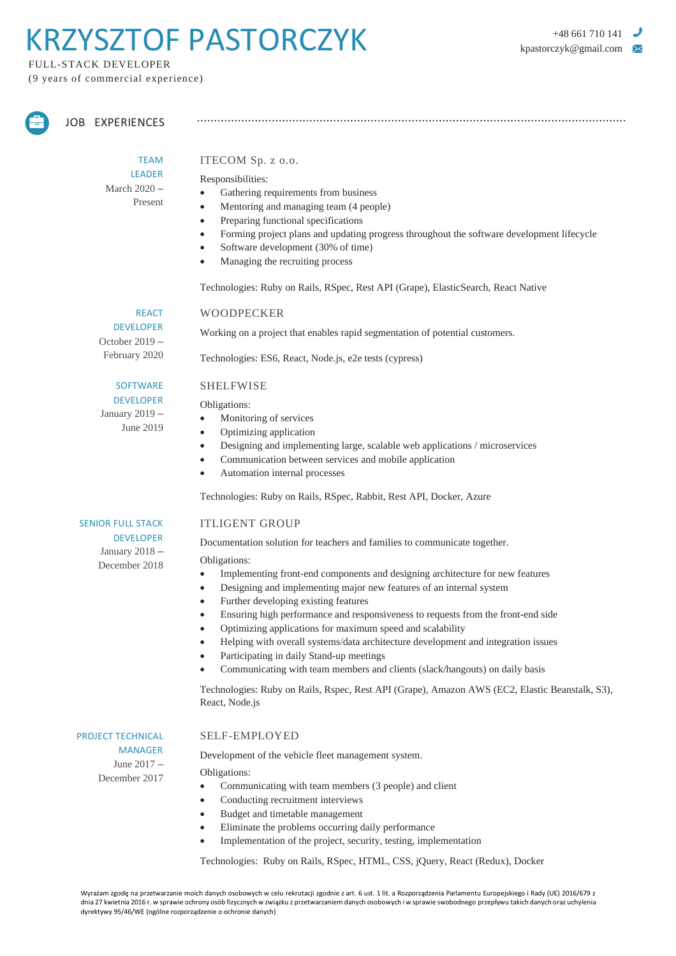# RZYSZTOF PASTORCZYK **Anatomyk@mail.com**

FULL-STACK DEVELOPER (9 years of commercial experience)



JOB EXPERIENCES

TEAM LEADER March 2020 – Present

#### ITECOM Sp. z o.o.

#### Responsibilities:

- Gathering requirements from business
- Mentoring and managing team (4 people)
- Preparing functional specifications
- Forming project plans and updating progress throughout the software development lifecycle

- Software development (30% of time)
- Managing the recruiting process

Technologies: Ruby on Rails, RSpec, Rest API (Grape), ElasticSearch, React Native

#### WOODPECKER

REACT DEVELOPER October 2019 – February 2020

Working on a project that enables rapid segmentation of potential customers.

Technologies: ES6, React, Node.js, e2e tests (cypress)

#### SHELFWISE

Obligations:

- Monitoring of services
- Optimizing application
- Designing and implementing large, scalable web applications / microservices
- Communication between services and mobile application
- Automation internal processes

Technologies: Ruby on Rails, RSpec, Rabbit, Rest API, Docker, Azure

#### ITLIGENT GROUP

Documentation solution for teachers and families to communicate together.

Obligations:

- Implementing front-end components and designing architecture for new features
- Designing and implementing major new features of an internal system
- Further developing existing features
- Ensuring high performance and responsiveness to requests from the front-end side
- Optimizing applications for maximum speed and scalability
- Helping with overall systems/data architecture development and integration issues
- Participating in daily Stand-up meetings
	- Communicating with team members and clients (slack/hangouts) on daily basis

Technologies: Ruby on Rails, Rspec, Rest API (Grape), Amazon AWS (EC2, Elastic Beanstalk, S3), React, Node.js

PROJECT TECHNICAL MANAGER June 2017 – December 2017

#### SELF-EMPLOYED

Development of the vehicle fleet management system.

Obligations:

- Communicating with team members (3 people) and client
- Conducting recruitment interviews
- Budget and timetable management
- Eliminate the problems occurring daily performance
- Implementation of the project, security, testing, implementation

Technologies: Ruby on Rails, RSpec, HTML, CSS, jQuery, React (Redux), Docker

**SOFTWARE** DEVELOPER January 2019 –

June 2019

SENIOR FULL STACK

DEVELOPER January 2018 – December 2018